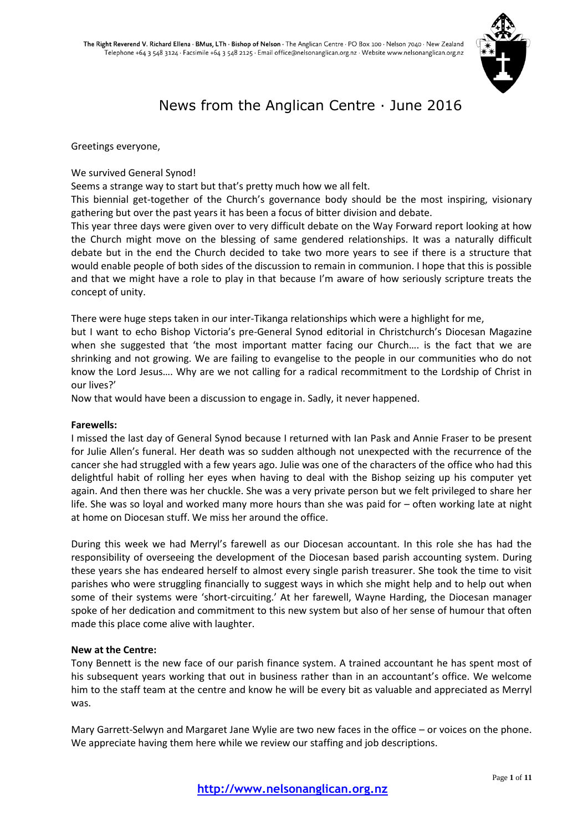

# News from the Anglican Centre · June 2016

Greetings everyone,

#### We survived General Synod!

Seems a strange way to start but that's pretty much how we all felt.

This biennial get-together of the Church's governance body should be the most inspiring, visionary gathering but over the past years it has been a focus of bitter division and debate.

This year three days were given over to very difficult debate on the Way Forward report looking at how the Church might move on the blessing of same gendered relationships. It was a naturally difficult debate but in the end the Church decided to take two more years to see if there is a structure that would enable people of both sides of the discussion to remain in communion. I hope that this is possible and that we might have a role to play in that because I'm aware of how seriously scripture treats the concept of unity.

There were huge steps taken in our inter-Tikanga relationships which were a highlight for me,

but I want to echo Bishop Victoria's pre-General Synod editorial in Christchurch's Diocesan Magazine when she suggested that 'the most important matter facing our Church.... is the fact that we are shrinking and not growing. We are failing to evangelise to the people in our communities who do not know the Lord Jesus…. Why are we not calling for a radical recommitment to the Lordship of Christ in our lives?'

Now that would have been a discussion to engage in. Sadly, it never happened.

#### **Farewells:**

I missed the last day of General Synod because I returned with Ian Pask and Annie Fraser to be present for Julie Allen's funeral. Her death was so sudden although not unexpected with the recurrence of the cancer she had struggled with a few years ago. Julie was one of the characters of the office who had this delightful habit of rolling her eyes when having to deal with the Bishop seizing up his computer yet again. And then there was her chuckle. She was a very private person but we felt privileged to share her life. She was so loyal and worked many more hours than she was paid for – often working late at night at home on Diocesan stuff. We miss her around the office.

During this week we had Merryl's farewell as our Diocesan accountant. In this role she has had the responsibility of overseeing the development of the Diocesan based parish accounting system. During these years she has endeared herself to almost every single parish treasurer. She took the time to visit parishes who were struggling financially to suggest ways in which she might help and to help out when some of their systems were 'short-circuiting.' At her farewell, Wayne Harding, the Diocesan manager spoke of her dedication and commitment to this new system but also of her sense of humour that often made this place come alive with laughter.

#### **New at the Centre:**

Tony Bennett is the new face of our parish finance system. A trained accountant he has spent most of his subsequent years working that out in business rather than in an accountant's office. We welcome him to the staff team at the centre and know he will be every bit as valuable and appreciated as Merryl was.

Mary Garrett-Selwyn and Margaret Jane Wylie are two new faces in the office – or voices on the phone. We appreciate having them here while we review our staffing and job descriptions.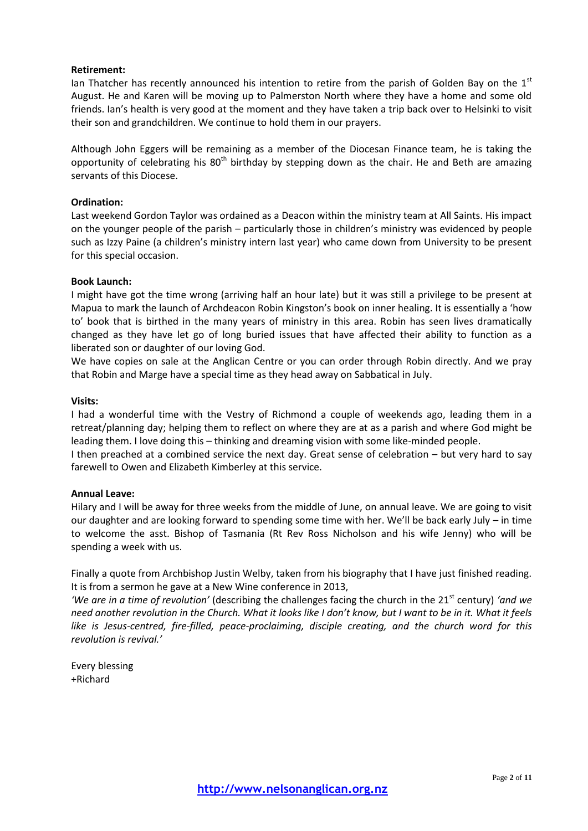#### **Retirement:**

Ian Thatcher has recently announced his intention to retire from the parish of Golden Bay on the  $1<sup>st</sup>$ August. He and Karen will be moving up to Palmerston North where they have a home and some old friends. Ian's health is very good at the moment and they have taken a trip back over to Helsinki to visit their son and grandchildren. We continue to hold them in our prayers.

Although John Eggers will be remaining as a member of the Diocesan Finance team, he is taking the opportunity of celebrating his  $80<sup>th</sup>$  birthday by stepping down as the chair. He and Beth are amazing servants of this Diocese.

#### **Ordination:**

Last weekend Gordon Taylor was ordained as a Deacon within the ministry team at All Saints. His impact on the younger people of the parish – particularly those in children's ministry was evidenced by people such as Izzy Paine (a children's ministry intern last year) who came down from University to be present for this special occasion.

#### **Book Launch:**

I might have got the time wrong (arriving half an hour late) but it was still a privilege to be present at Mapua to mark the launch of Archdeacon Robin Kingston's book on inner healing. It is essentially a 'how to' book that is birthed in the many years of ministry in this area. Robin has seen lives dramatically changed as they have let go of long buried issues that have affected their ability to function as a liberated son or daughter of our loving God.

We have copies on sale at the Anglican Centre or you can order through Robin directly. And we pray that Robin and Marge have a special time as they head away on Sabbatical in July.

#### **Visits:**

I had a wonderful time with the Vestry of Richmond a couple of weekends ago, leading them in a retreat/planning day; helping them to reflect on where they are at as a parish and where God might be leading them. I love doing this – thinking and dreaming vision with some like-minded people.

I then preached at a combined service the next day. Great sense of celebration – but very hard to say farewell to Owen and Elizabeth Kimberley at this service.

#### **Annual Leave:**

Hilary and I will be away for three weeks from the middle of June, on annual leave. We are going to visit our daughter and are looking forward to spending some time with her. We'll be back early July – in time to welcome the asst. Bishop of Tasmania (Rt Rev Ross Nicholson and his wife Jenny) who will be spending a week with us.

Finally a quote from Archbishop Justin Welby, taken from his biography that I have just finished reading. It is from a sermon he gave at a New Wine conference in 2013,

'We are in a time of revolution' (describing the challenges facing the church in the 21<sup>st</sup> century) 'and we *need another revolution in the Church. What it looks like I don't know, but I want to be in it. What it feels like is Jesus-centred, fire-filled, peace-proclaiming, disciple creating, and the church word for this revolution is revival.'*

Every blessing +Richard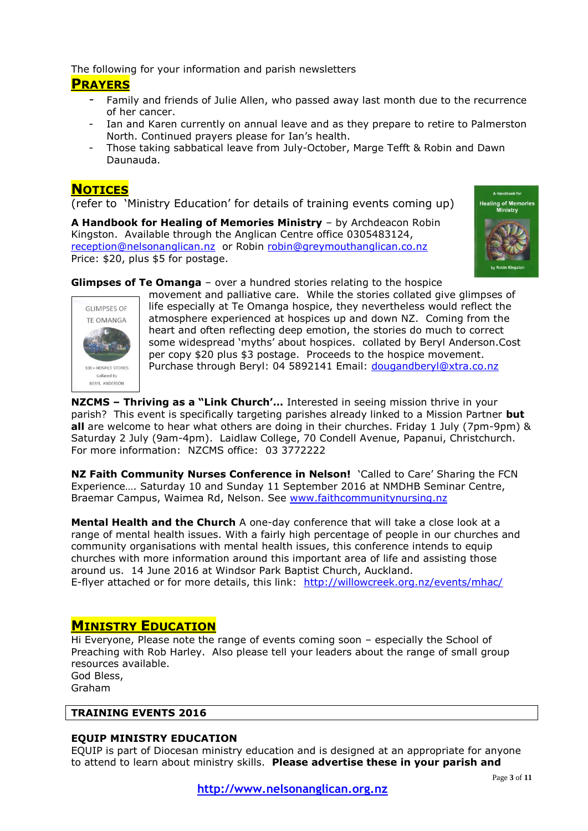The following for your information and parish newsletters **PRAYERS**

- Family and friends of Julie Allen, who passed away last month due to the recurrence of her cancer.
- Ian and Karen currently on annual leave and as they prepare to retire to Palmerston North. Continued prayers please for Ian's health.
- Those taking sabbatical leave from July-October, Marge Tefft & Robin and Dawn Daunauda.

# **NOTICES**

(refer to 'Ministry Education' for details of training events coming up)

**A Handbook for Healing of Memories Ministry** – by Archdeacon Robin Kingston. Available through the Anglican Centre office 0305483124, [reception@nelsonanglican.nz](mailto:reception@nelsonanglican.nz) or Robin [robin@greymouthanglican.co.nz](mailto:robin@greymouthanglican.co.nz) Price: \$20, plus \$5 for postage.



**Glimpses of Te Omanga** – over a hundred stories relating to the hospice



movement and palliative care. While the stories collated give glimpses of life especially at Te Omanga hospice, they nevertheless would reflect the atmosphere experienced at hospices up and down NZ. Coming from the heart and often reflecting deep emotion, the stories do much to correct some widespread 'myths' about hospices. collated by Beryl Anderson.Cost per copy \$20 plus \$3 postage. Proceeds to the hospice movement. Purchase through Beryl: 04 5892141 Email: [dougandberyl@xtra.co.nz](mailto:dougandberyl@xtra.co.nz)

**NZCMS – Thriving as a "Link Church'…** Interested in seeing mission thrive in your parish? This event is specifically targeting parishes already linked to a Mission Partner **but all** are welcome to hear what others are doing in their churches. Friday 1 July (7pm-9pm) & Saturday 2 July (9am-4pm). Laidlaw College, 70 Condell Avenue, Papanui, Christchurch. For more information: NZCMS office: 03 3772222

**NZ Faith Community Nurses Conference in Nelson!** 'Called to Care' Sharing the FCN Experience…. Saturday 10 and Sunday 11 September 2016 at NMDHB Seminar Centre, Braemar Campus, Waimea Rd, Nelson. See [www.faithcommunitynursing.nz](http://www.faithcommunitynursing.nz/)

**Mental Health and the Church** A one-day conference that will take a close look at a range of mental health issues. With a fairly high percentage of people in our churches and community organisations with mental health issues, this conference intends to equip churches with more information around this important area of life and assisting those around us. 14 June 2016 at Windsor Park Baptist Church, Auckland. E-flyer attached or for more details, this link: <http://willowcreek.org.nz/events/mhac/>

# **MINISTRY EDUCATION**

Hi Everyone, Please note the range of events coming soon – especially the School of Preaching with Rob Harley. Also please tell your leaders about the range of small group resources available.

God Bless, Graham

#### **TRAINING EVENTS 2016**

#### **EQUIP MINISTRY EDUCATION**

EQUIP is part of Diocesan ministry education and is designed at an appropriate for anyone to attend to learn about ministry skills. **Please advertise these in your parish and**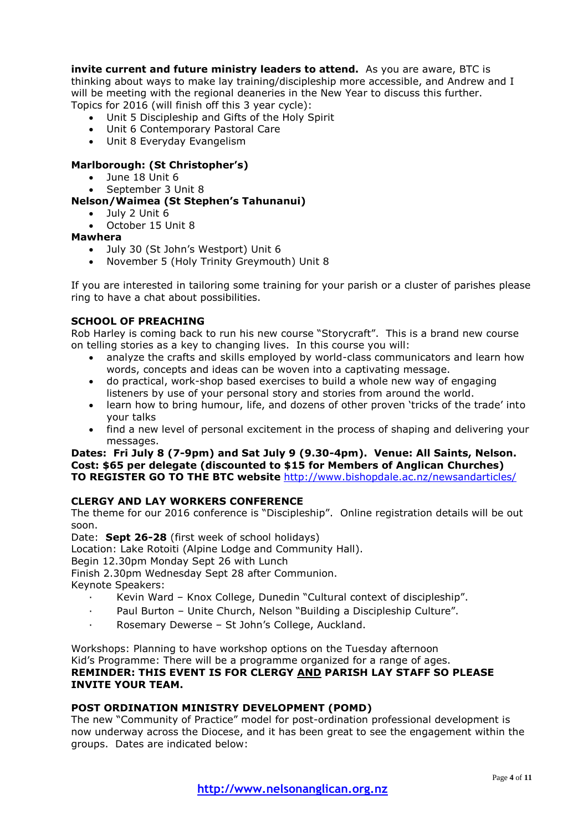**invite current and future ministry leaders to attend.** As you are aware, BTC is thinking about ways to make lay training/discipleship more accessible, and Andrew and I will be meeting with the regional deaneries in the New Year to discuss this further. Topics for 2016 (will finish off this 3 year cycle):

- Unit 5 Discipleship and Gifts of the Holy Spirit
- Unit 6 Contemporary Pastoral Care
- Unit 8 Everyday Evangelism

#### **Marlborough: (St Christopher's)**

- June 18 Unit 6
- September 3 Unit 8

**Nelson/Waimea (St Stephen's Tahunanui)**

July 2 Unit 6

October 15 Unit 8

#### **Mawhera**

- July 30 (St John's Westport) Unit 6
- November 5 (Holy Trinity Greymouth) Unit 8

If you are interested in tailoring some training for your parish or a cluster of parishes please ring to have a chat about possibilities.

#### **SCHOOL OF PREACHING**

Rob Harley is coming back to run his new course "Storycraft". This is a brand new course on telling stories as a key to changing lives. In this course you will:

- analyze the crafts and skills employed by world-class communicators and learn how words, concepts and ideas can be woven into a captivating message.
- do practical, work-shop based exercises to build a whole new way of engaging listeners by use of your personal story and stories from around the world.
- learn how to bring humour, life, and dozens of other proven 'tricks of the trade' into your talks
- find a new level of personal excitement in the process of shaping and delivering your messages.

**Dates: Fri July 8 (7-9pm) and Sat July 9 (9.30-4pm). Venue: All Saints, Nelson. Cost: \$65 per delegate (discounted to \$15 for Members of Anglican Churches) TO REGISTER GO TO THE BTC website** <http://www.bishopdale.ac.nz/newsandarticles/>

#### **CLERGY AND LAY WORKERS CONFERENCE**

The theme for our 2016 conference is "Discipleship". Online registration details will be out soon.

Date: **Sept 26-28** (first week of school holidays)

Location: Lake Rotoiti (Alpine Lodge and Community Hall).

Begin 12.30pm Monday Sept 26 with Lunch

Finish 2.30pm Wednesday Sept 28 after Communion.

Keynote Speakers:

- · Kevin Ward Knox College, Dunedin "Cultural context of discipleship".
- · Paul Burton Unite Church, Nelson "Building a Discipleship Culture".
- Rosemary Dewerse St John's College, Auckland.

Workshops: Planning to have workshop options on the Tuesday afternoon Kid's Programme: There will be a programme organized for a range of ages.

#### **REMINDER: THIS EVENT IS FOR CLERGY AND PARISH LAY STAFF SO PLEASE INVITE YOUR TEAM.**

#### **POST ORDINATION MINISTRY DEVELOPMENT (POMD)**

The new "Community of Practice" model for post-ordination professional development is now underway across the Diocese, and it has been great to see the engagement within the groups. Dates are indicated below: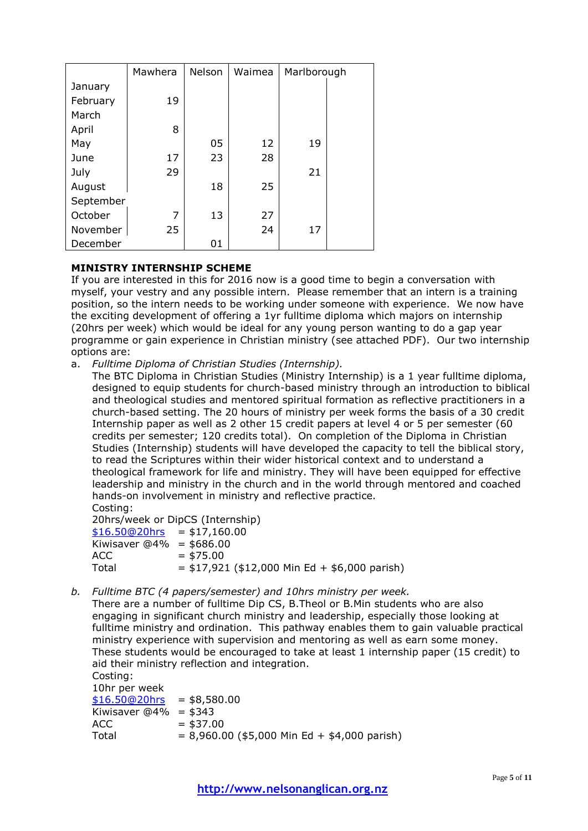|           | Mawhera | Nelson | Waimea | Marlborough |  |
|-----------|---------|--------|--------|-------------|--|
| January   |         |        |        |             |  |
| February  | 19      |        |        |             |  |
| March     |         |        |        |             |  |
| April     | 8       |        |        |             |  |
| May       |         | 05     | 12     | 19          |  |
| June      | 17      | 23     | 28     |             |  |
| July      | 29      |        |        | 21          |  |
| August    |         | 18     | 25     |             |  |
| September |         |        |        |             |  |
| October   | 7       | 13     | 27     |             |  |
| November  | 25      |        | 24     | 17          |  |
| December  |         | 01     |        |             |  |

#### **MINISTRY INTERNSHIP SCHEME**

If you are interested in this for 2016 now is a good time to begin a conversation with myself, your vestry and any possible intern. Please remember that an intern is a training position, so the intern needs to be working under someone with experience. We now have the exciting development of offering a 1yr fulltime diploma which majors on internship (20hrs per week) which would be ideal for any young person wanting to do a gap year programme or gain experience in Christian ministry (see attached PDF). Our two internship options are:

a. *Fulltime Diploma of Christian Studies (Internship).*

The BTC Diploma in Christian Studies (Ministry Internship) is a 1 year fulltime diploma, designed to equip students for church-based ministry through an introduction to biblical and theological studies and mentored spiritual formation as reflective practitioners in a church-based setting. The 20 hours of ministry per week forms the basis of a 30 credit Internship paper as well as 2 other 15 credit papers at level 4 or 5 per semester (60 credits per semester; 120 credits total). On completion of the Diploma in Christian Studies (Internship) students will have developed the capacity to tell the biblical story, to read the Scriptures within their wider historical context and to understand a theological framework for life and ministry. They will have been equipped for effective leadership and ministry in the church and in the world through mentored and coached hands-on involvement in ministry and reflective practice. Costing:

20hrs/week or DipCS (Internship)

| $$16.50@20$ hrs = \$17,160.00 |                                                 |
|-------------------------------|-------------------------------------------------|
| Kiwisaver $@4\% = $686.00$    |                                                 |
| ACC.                          | $=$ \$75.00                                     |
| Total                         | $=$ \$17,921 (\$12,000 Min Ed + \$6,000 parish) |

*b. Fulltime BTC (4 papers/semester) and 10hrs ministry per week.*

There are a number of fulltime Dip CS, B.Theol or B.Min students who are also engaging in significant church ministry and leadership, especially those looking at fulltime ministry and ordination. This pathway enables them to gain valuable practical ministry experience with supervision and mentoring as well as earn some money. These students would be encouraged to take at least 1 internship paper (15 credit) to aid their ministry reflection and integration.

Costing: 10hr per week  $$16.50@20$ hrs = \$8,580.00 Kiwisaver  $\overline{\omega}$ 4% = \$343  $ACC = $37.00$  $Total = 8,960,00 ( $5,000$  Min Ed + \$4,000 parish)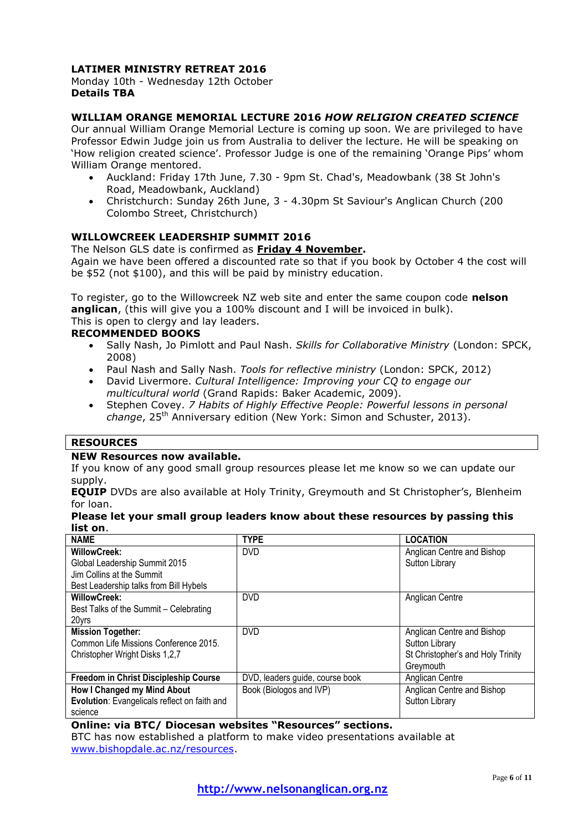#### **LATIMER MINISTRY RETREAT 2016**

#### Monday 10th - Wednesday 12th October **Details TBA**

#### **WILLIAM ORANGE MEMORIAL LECTURE 2016** *HOW RELIGION CREATED SCIENCE*

Our annual William Orange Memorial Lecture is coming up soon. We are privileged to have Professor Edwin Judge join us from Australia to deliver the lecture. He will be speaking on 'How religion created science'. Professor Judge is one of the remaining 'Orange Pips' whom William Orange mentored.

- Auckland: Friday 17th June, 7.30 9pm St. Chad's, Meadowbank (38 St John's Road, Meadowbank, Auckland)
- Christchurch: Sunday 26th June, 3 4.30pm St Saviour's Anglican Church (200 Colombo Street, Christchurch)

#### **WILLOWCREEK LEADERSHIP SUMMIT 2016**

#### The Nelson GLS date is confirmed as **Friday 4 November.**

Again we have been offered a discounted rate so that if you book by October 4 the cost will be \$52 (not \$100), and this will be paid by ministry education.

To register, go to the Willowcreek NZ web site and enter the same coupon code **nelson anglican**, (this will give you a 100% discount and I will be invoiced in bulk). This is open to clergy and lay leaders.

#### **RECOMMENDED BOOKS**

- Sally Nash, Jo Pimlott and Paul Nash. *Skills for Collaborative Ministry* (London: SPCK, 2008)
- Paul Nash and Sally Nash. *Tools for reflective ministry* (London: SPCK, 2012)
- David Livermore. *Cultural Intelligence: Improving your CQ to engage our multicultural world* (Grand Rapids: Baker Academic, 2009).
- Stephen Covey. *7 Habits of Highly Effective People: Powerful lessons in personal change*, 25th Anniversary edition (New York: Simon and Schuster, 2013).

#### **RESOURCES**

#### **NEW Resources now available.**

If you know of any good small group resources please let me know so we can update our supply.

**EQUIP** DVDs are also available at Holy Trinity, Greymouth and St Christopher's, Blenheim for loan.

#### **Please let your small group leaders know about these resources by passing this list on**.

| <b>NAME</b>                                  | <b>TYPE</b>                     | <b>LOCATION</b>                   |
|----------------------------------------------|---------------------------------|-----------------------------------|
| <b>WillowCreek:</b>                          | <b>DVD</b>                      | Anglican Centre and Bishop        |
| Global Leadership Summit 2015                |                                 | Sutton Library                    |
| Jim Collins at the Summit                    |                                 |                                   |
| Best Leadership talks from Bill Hybels       |                                 |                                   |
| <b>WillowCreek:</b>                          | <b>DVD</b>                      | Anglican Centre                   |
| Best Talks of the Summit - Celebrating       |                                 |                                   |
| 20yrs                                        |                                 |                                   |
| <b>Mission Together:</b>                     | <b>DVD</b>                      | Anglican Centre and Bishop        |
| Common Life Missions Conference 2015.        |                                 | Sutton Library                    |
| Christopher Wright Disks 1,2,7               |                                 | St Christopher's and Holy Trinity |
|                                              |                                 | Greymouth                         |
| Freedom in Christ Discipleship Course        | DVD, leaders guide, course book | Anglican Centre                   |
| How I Changed my Mind About                  | Book (Biologos and IVP)         | Anglican Centre and Bishop        |
| Evolution: Evangelicals reflect on faith and |                                 | Sutton Library                    |
| science                                      |                                 |                                   |

#### **Online: via BTC/ Diocesan websites "Resources" sections.**

BTC has now established a platform to make video presentations available at [www.bishopdale.ac.nz/resources.](http://www.bishopdale.ac.nz/resources)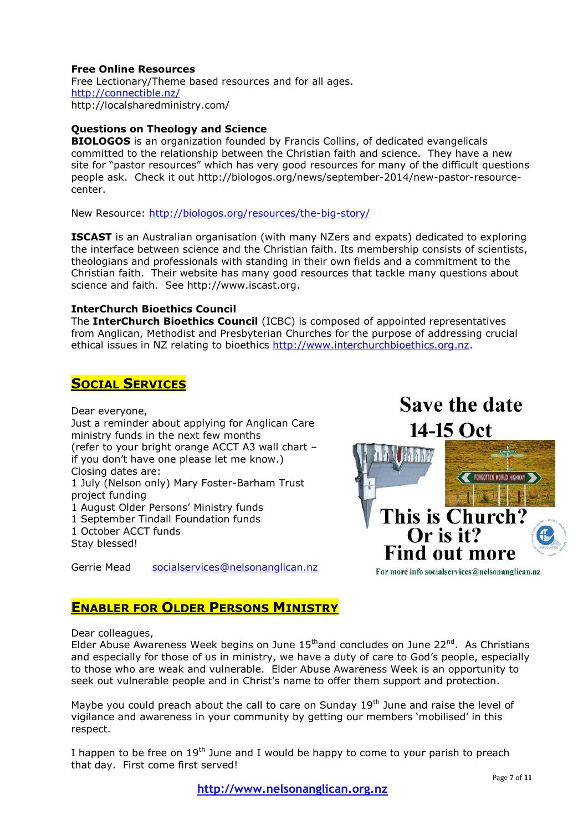#### **Free Online Resources**

Free Lectionary/Theme based resources and for all ages. <http://connectible.nz/> http://localsharedministry.com/

#### **Questions on Theology and Science**

**BIOLOGOS** is an organization founded by Francis Collins, of dedicated evangelicals committed to the relationship between the Christian faith and science. They have a new site for "pastor resources" which has very good resources for many of the difficult questions people ask. Check it out http://biologos.org/news/september-2014/new-pastor-resourcecenter.

New Resource:<http://biologos.org/resources/the-big-story/>

**ISCAST** is an Australian organisation (with many NZers and expats) dedicated to exploring the interface between science and the Christian faith. Its membership consists of scientists, theologians and professionals with standing in their own fields and a commitment to the Christian faith. Their website has many good resources that tackle many questions about science and faith. See http://www.iscast.org.

#### **InterChurch Bioethics Council**

The **InterChurch Bioethics Council** (ICBC) is composed of appointed representatives from Anglican, Methodist and Presbyterian Churches for the purpose of addressing crucial ethical issues in NZ relating to bioethics [http://www.interchurchbioethics.org.nz.](http://www.interchurchbioethics.org.nz/)

# **SOCIAL SERVICES**

Dear everyone,

Just a reminder about applying for Anglican Care ministry funds in the next few months (refer to your bright orange ACCT A3 wall chart – if you don't have one please let me know.) Closing dates are: 1 July (Nelson only) Mary Foster-Barham Trust project funding 1 August Older Persons' Ministry funds 1 September Tindall Foundation funds 1 October ACCT funds

Stay blessed!

Gerrie Mead [socialservices@nelsonanglican.nz](mailto:socialservices@nelsonanglican.nz)

# **Save the date** 14-15 Oct FORGOTTEN WORLD HIGHWAY

This is Church?

**Find out more** 

For more info socialservices@nelsonanglican.nz

 $Or$  is it?

# **ENABLER FOR OLDER PERSONS MINISTRY**

Dear colleagues,

Elder Abuse Awareness Week begins on June  $15<sup>th</sup>$  and concludes on June 22<sup>nd</sup>. As Christians and especially for those of us in ministry, we have a duty of care to God's people, especially to those who are weak and vulnerable. Elder Abuse Awareness Week is an opportunity to seek out vulnerable people and in Christ's name to offer them support and protection.

Maybe you could preach about the call to care on Sunday  $19<sup>th</sup>$  June and raise the level of vigilance and awareness in your community by getting our members 'mobilised' in this respect.

I happen to be free on  $19<sup>th</sup>$  June and I would be happy to come to your parish to preach that day. First come first served!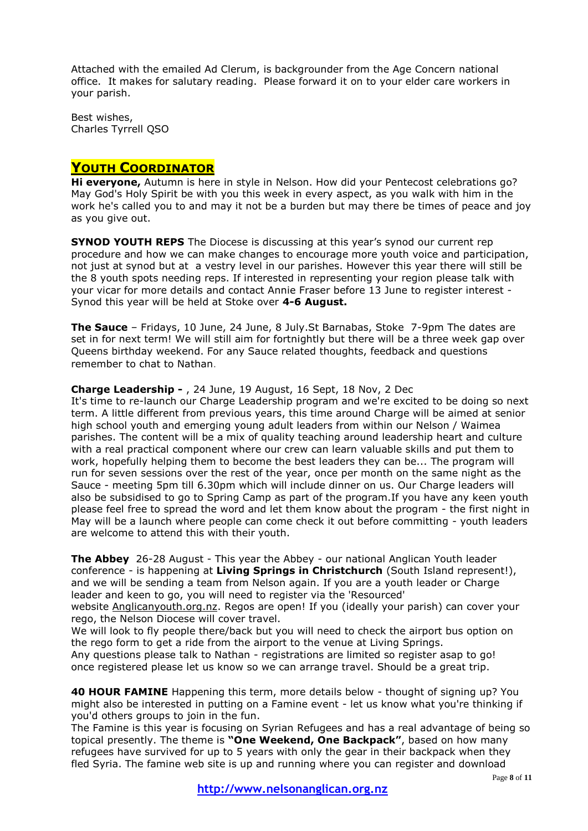Attached with the emailed Ad Clerum, is backgrounder from the Age Concern national office. It makes for salutary reading. Please forward it on to your elder care workers in your parish.

Best wishes, Charles Tyrrell QSO

# **YOUTH COORDINATOR**

**Hi everyone,** Autumn is here in style in Nelson. How did your Pentecost celebrations go? May God's Holy Spirit be with you this week in every aspect, as you walk with him in the work he's called you to and may it not be a burden but may there be times of peace and joy as you give out.

**SYNOD YOUTH REPS** The Diocese is discussing at this year's synod our current rep procedure and how we can make changes to encourage more youth voice and participation, not just at synod but at a vestry level in our parishes. However this year there will still be the 8 youth spots needing reps. If interested in representing your region please talk with your vicar for more details and contact Annie Fraser before 13 June to register interest - Synod this year will be held at Stoke over **4-6 August.**

**The Sauce** – Fridays, 10 June, 24 June, 8 July.St Barnabas, Stoke 7-9pm The dates are set in for next term! We will still aim for fortnightly but there will be a three week gap over Queens birthday weekend. For any Sauce related thoughts, feedback and questions remember to chat to Nathan.

#### **Charge Leadership -** , 24 June, 19 August, 16 Sept, 18 Nov, 2 Dec

It's time to re-launch our Charge Leadership program and we're excited to be doing so next term. A little different from previous years, this time around Charge will be aimed at senior high school youth and emerging young adult leaders from within our Nelson / Waimea parishes. The content will be a mix of quality teaching around leadership heart and culture with a real practical component where our crew can learn valuable skills and put them to work, hopefully helping them to become the best leaders they can be... The program will run for seven sessions over the rest of the year, once per month on the same night as the Sauce - meeting 5pm till 6.30pm which will include dinner on us. Our Charge leaders will also be subsidised to go to Spring Camp as part of the program.If you have any keen youth please feel free to spread the word and let them know about the program - the first night in May will be a launch where people can come check it out before committing - youth leaders are welcome to attend this with their youth.

**The Abbey** 26-28 August - This year the Abbey - our national Anglican Youth leader conference - is happening at **Living Springs in Christchurch** (South Island represent!), and we will be sending a team from Nelson again. If you are a youth leader or Charge leader and keen to go, you will need to register via the 'Resourced'

website [Anglicanyouth.org.nz.](http://nelsonanglicanyouth.us9.list-manage.com/track/click?u=77d67e014607ec1799bfa00bd&id=87c9334bc3&e=4bd71db7b0) Regos are open! If you (ideally your parish) can cover your rego, the Nelson Diocese will cover travel.

We will look to fly people there/back but you will need to check the airport bus option on the rego form to get a ride from the airport to the venue at Living Springs.

Any questions please talk to Nathan - registrations are limited so register asap to go! once registered please let us know so we can arrange travel. Should be a great trip.

**40 HOUR FAMINE** Happening this term, more details below - thought of signing up? You might also be interested in putting on a Famine event - let us know what you're thinking if you'd others groups to join in the fun.

The Famine is this year is focusing on Syrian Refugees and has a real advantage of being so topical presently. The theme is **"One Weekend, One Backpack"**, based on how many refugees have survived for up to 5 years with only the gear in their backpack when they fled Syria. The famine web site is up and running where you can register and download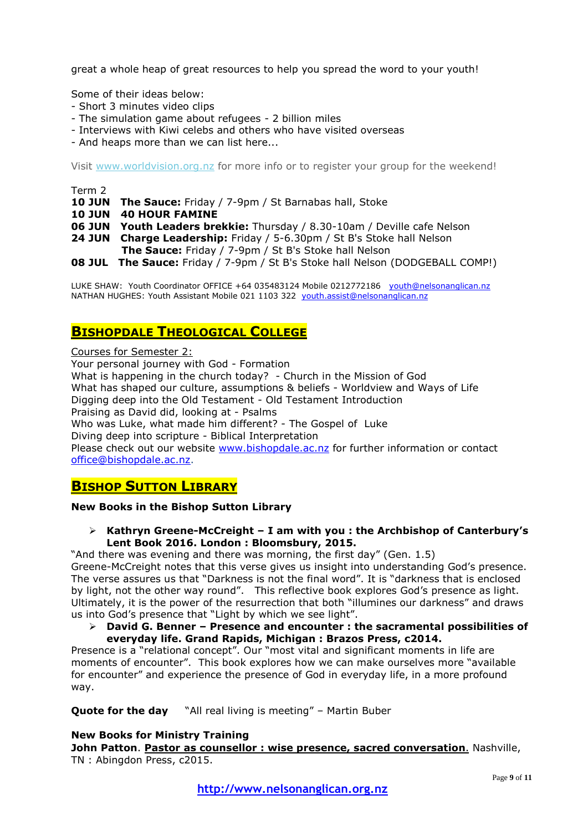great a whole heap of great resources to help you spread the word to your youth!

Some of their ideas below:

- Short 3 minutes video clips
- The simulation game about refugees 2 billion miles
- Interviews with Kiwi celebs and others who have visited overseas
- And heaps more than we can list here...

Visit [www.worldvision.org.nz](http://nelsonanglicanyouth.us9.list-manage.com/track/click?u=77d67e014607ec1799bfa00bd&id=625e3437d5&e=4bd71db7b0) for more info or to register your group for the weekend!

#### Term 2

- **10 JUN The Sauce:** Friday / 7-9pm / St Barnabas hall, Stoke
- **10 JUN 40 HOUR FAMINE**
- **06 JUN Youth Leaders brekkie:** Thursday / 8.30-10am / Deville cafe Nelson
- **24 JUN Charge Leadership:** Friday / 5-6.30pm / St B's Stoke hall Nelson
- **The Sauce:** Friday / 7-9pm / St B's Stoke hall Nelson

**08 JUL The Sauce:** Friday / 7-9pm / St B's Stoke hall Nelson (DODGEBALL COMP!)

LUKE SHAW: Youth Coordinator OFFICE +64 035483124 Mobile 0212772186 [youth@nelsonanglican.nz](mailto:youth@nelsonanglican.nz) NATHAN HUGHES: Youth Assistant Mobile 021 1103 322 [youth.assist@nelsonanglican.nz](mailto:youth.assist@nelsonanglican.nz)

# **BISHOPDALE THEOLOGICAL COLLEGE**

Courses for Semester 2:

Your personal journey with God - Formation What is happening in the church today? - Church in the Mission of God What has shaped our culture, assumptions & beliefs - Worldview and Ways of Life Digging deep into the Old Testament - Old Testament Introduction Praising as David did, looking at - Psalms Who was Luke, what made him different? - The Gospel of Luke Diving deep into scripture - Biblical Interpretation Please check out our website [www.bishopdale.ac.nz](http://www.bishopdale.ac.nz/) for further information or contact [office@bishopdale.ac.nz.](mailto:office@bishopdale.ac.nz)

# **BISHOP SUTTON LIBRARY**

#### **New Books in the Bishop Sutton Library**

 **Kathryn Greene-McCreight – I am with you : the Archbishop of Canterbury's Lent Book 2016. London : Bloomsbury, 2015.**

"And there was evening and there was morning, the first day" (Gen. 1.5) Greene-McCreight notes that this verse gives us insight into understanding God's presence. The verse assures us that "Darkness is not the final word". It is "darkness that is enclosed by light, not the other way round". This reflective book explores God's presence as light. Ultimately, it is the power of the resurrection that both "illumines our darkness" and draws us into God's presence that "Light by which we see light".

 **David G. Benner – Presence and encounter : the sacramental possibilities of everyday life. Grand Rapids, Michigan : Brazos Press, c2014.**

Presence is a "relational concept". Our "most vital and significant moments in life are moments of encounter". This book explores how we can make ourselves more "available for encounter" and experience the presence of God in everyday life, in a more profound way.

**Quote for the day** "All real living is meeting" – Martin Buber

#### **New Books for Ministry Training**

**John Patton**. **Pastor as counsellor : wise presence, sacred conversation**. Nashville, TN : Abingdon Press, c2015.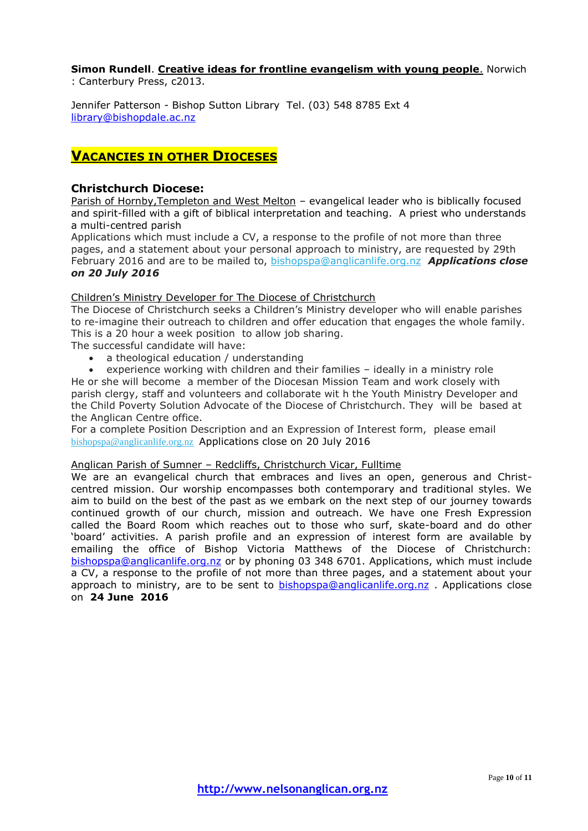### **Simon Rundell**. **Creative ideas for frontline evangelism with young people**. Norwich

: Canterbury Press, c2013.

Jennifer Patterson - Bishop Sutton Library Tel. (03) 548 8785 Ext 4 [library@bishopdale.ac.nz](mailto:library@bishopdale.ac.nz)

# **VACANCIES IN OTHER DIOCESES**

#### **Christchurch Diocese:**

Parish of Hornby,Templeton and West Melton – evangelical leader who is biblically focused and spirit-filled with a gift of biblical interpretation and teaching. A priest who understands a multi-centred parish

Applications which must include a CV, a response to the profile of not more than three pages, and a statement about your personal approach to ministry, are requested by 29th February 2016 and are to be mailed to, [bishopspa@anglicanlife.org.nz](mailto:bishopspa@anglicanlife.org.nz?subject=Hornby%20Templeton%20West%20Melton%20position) *Applications close on 20 July 2016*

#### Children's Ministry Developer for The Diocese of Christchurch

The Diocese of Christchurch seeks a Children's Ministry developer who will enable parishes to re-imagine their outreach to children and offer education that engages the whole family. This is a 20 hour a week position to allow job sharing.

The successful candidate will have:

- a theological education / understanding
- experience working with children and their families ideally in a ministry role He or she will become a member of the Diocesan Mission Team and work closely with parish clergy, staff and volunteers and collaborate wit h the Youth Ministry Developer and the Child Poverty Solution Advocate of the Diocese of Christchurch. They will be based at the Anglican Centre office.

For a complete Position Description and an Expression of Interest form, please email [bishopspa@anglicanlife.org.nz](mailto:bishopspa@anglicanlife.org.nz?subject=Children%E2%80%99s%20Ministry%20Developer%20for%20The%20Diocese%20of%20Christchurch) Applications close on 20 July 2016

#### Anglican Parish of Sumner – Redcliffs, Christchurch Vicar, Fulltime

We are an evangelical church that embraces and lives an open, generous and Christcentred mission. Our worship encompasses both contemporary and traditional styles. We aim to build on the best of the past as we embark on the next step of our journey towards continued growth of our church, mission and outreach. We have one Fresh Expression called the Board Room which reaches out to those who surf, skate-board and do other 'board' activities. A parish profile and an expression of interest form are available by emailing the office of Bishop Victoria Matthews of the Diocese of Christchurch: [bishopspa@anglicanlife.org.nz](mailto:bishopspa@anglicanlife.org.nz) or by phoning 03 348 6701. Applications, which must include a CV, a response to the profile of not more than three pages, and a statement about your approach to ministry, are to be sent to **bishopspa@anglicanlife.org.nz** . Applications close on **24 June 2016**